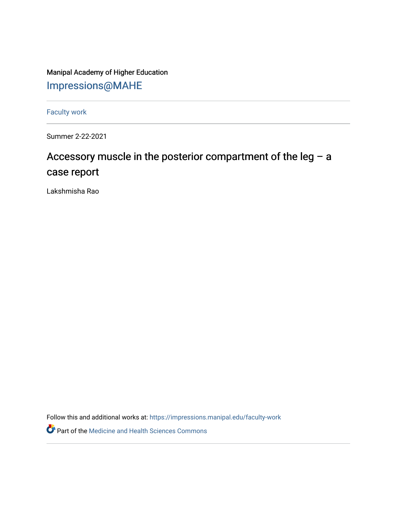Manipal Academy of Higher Education [Impressions@MAHE](https://impressions.manipal.edu/)

[Faculty work](https://impressions.manipal.edu/faculty-work) 

Summer 2-22-2021

## Accessory muscle in the posterior compartment of the leg – a case report

Lakshmisha Rao

Follow this and additional works at: [https://impressions.manipal.edu/faculty-work](https://impressions.manipal.edu/faculty-work?utm_source=impressions.manipal.edu%2Ffaculty-work%2F103&utm_medium=PDF&utm_campaign=PDFCoverPages) 

Part of the [Medicine and Health Sciences Commons](http://network.bepress.com/hgg/discipline/648?utm_source=impressions.manipal.edu%2Ffaculty-work%2F103&utm_medium=PDF&utm_campaign=PDFCoverPages)